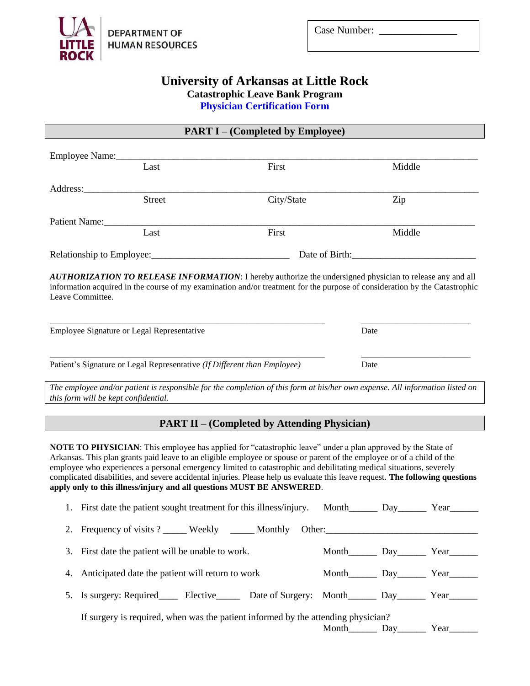

| Case Number: |  |
|--------------|--|
|--------------|--|

## **University of Arkansas at Little Rock Catastrophic Leave Bank Program Physician Certification Form**

**PART I – (Completed by Employee)**

| Employee Name: |               |            |                |  |
|----------------|---------------|------------|----------------|--|
|                | Last          | First      | Middle         |  |
| Address:       |               |            |                |  |
|                | <b>Street</b> | City/State | Zip            |  |
| Patient Name:  |               |            |                |  |
|                | Last          | First      | Middle         |  |
|                |               |            | Date of Birth: |  |

*AUTHORIZATION TO RELEASE INFORMATION*: I hereby authorize the undersigned physician to release any and all information acquired in the course of my examination and/or treatment for the purpose of consideration by the Catastrophic Leave Committee.

\_\_\_\_\_\_\_\_\_\_\_\_\_\_\_\_\_\_\_\_\_\_\_\_\_\_\_\_\_\_\_\_\_\_\_\_\_\_\_\_\_\_\_\_\_\_\_\_\_\_\_\_\_ \_\_\_\_\_\_\_\_\_\_\_\_\_\_\_\_\_\_\_\_\_

\_\_\_\_\_\_\_\_\_\_\_\_\_\_\_\_\_\_\_\_\_\_\_\_\_\_\_\_\_\_\_\_\_\_\_\_\_\_\_\_\_\_\_\_\_\_\_\_\_\_\_\_\_ \_\_\_\_\_\_\_\_\_\_\_\_\_\_\_\_\_\_\_\_\_

| <b>Employee Signature or Legal Representative</b> | Date |
|---------------------------------------------------|------|
|                                                   |      |

Patient's Signature or Legal Representative *(If Different than Employee)* Date

*The employee and/or patient is responsible for the completion of this form at his/her own expense. All information listed on this form will be kept confidential.*

## **PART II – (Completed by Attending Physician)**

**NOTE TO PHYSICIAN**: This employee has applied for "catastrophic leave" under a plan approved by the State of Arkansas. This plan grants paid leave to an eligible employee or spouse or parent of the employee or of a child of the employee who experiences a personal emergency limited to catastrophic and debilitating medical situations, severely complicated disabilities, and severe accidental injuries. Please help us evaluate this leave request. **The following questions apply only to this illness/injury and all questions MUST BE ANSWERED**.

| 1. First date the patient sought treatment for this illness/injury.                                         |                                                                                                                                                                                          |      |
|-------------------------------------------------------------------------------------------------------------|------------------------------------------------------------------------------------------------------------------------------------------------------------------------------------------|------|
| 2. Frequency of visits ? ______ Weekly ______ Monthly                                                       | Other:                                                                                                                                                                                   |      |
| 3. First date the patient will be unable to work.                                                           | Month Land Day Land Year Land Day Land Year Land Month Land Day Land Year Land Month Land Day Land Year Land Year Land Month Land Day Land Year Land Month Land Day Land Year Land Month |      |
| 4. Anticipated date the patient will return to work                                                         | Month Day Year                                                                                                                                                                           |      |
| 5. Is surgery: Required________ Elective__________ Date of Surgery: Month________ Day_________ Year________ |                                                                                                                                                                                          |      |
| If surgery is required, when was the patient informed by the attending physician?                           |                                                                                                                                                                                          |      |
|                                                                                                             |                                                                                                                                                                                          | Year |